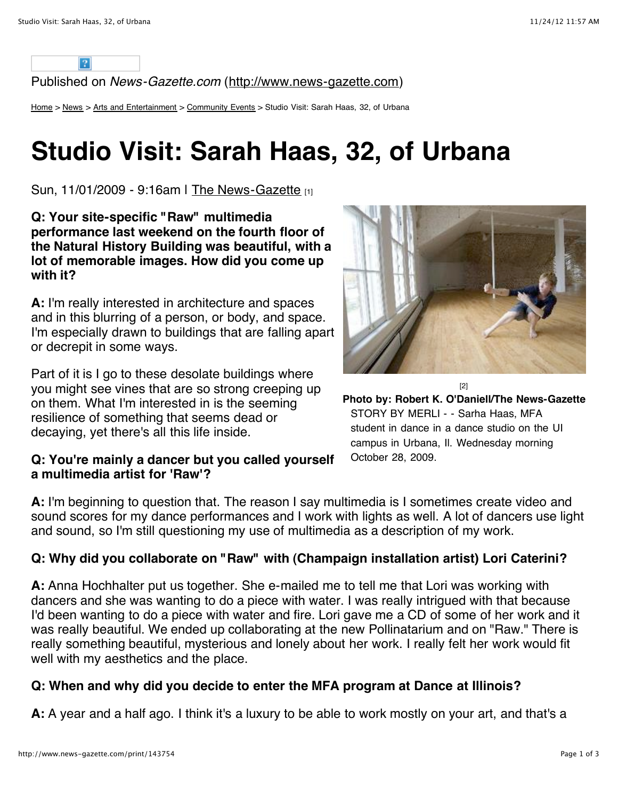

Published on *News-Gazette.com* ([http://www.news-gazette.com\)](http://www.news-gazette.com/)

[Home](http://www.news-gazette.com/) > [News](http://www.news-gazette.com/category/news) > [Arts and Entertainment](http://www.news-gazette.com/category/news/arts-and-entertainment) > [Community Events](http://www.news-gazette.com/category/news/arts-and-entertainment/community-events) > Studio Visit: Sarah Haas, 32, of Urbana

# **Studio Visit: Sarah Haas, 32, of Urbana**

Sun, 11/01/2009 - 9:16am | [The News-Gazette](http://www.news-gazette.com/author/news-gazette) [1]

**Q: Your site-specific "Raw" multimedia performance last weekend on the fourth floor of the Natural History Building was beautiful, with a lot of memorable images. How did you come up with it?**

**A:** I'm really interested in architecture and spaces and in this blurring of a person, or body, and space. I'm especially drawn to buildings that are falling apart or decrepit in some ways.

Part of it is I go to these desolate buildings where you might see vines that are so strong creeping up on them. What I'm interested in is the seeming resilience of something that seems dead or decaying, yet there's all this life inside.

#### **Q: You're mainly a dancer but you called yourself a multimedia artist for 'Raw'?**



**Photo by: Robert K. O'Daniell/The News-Gazette** STORY BY MERLI - - Sarha Haas, MFA student in dance in a dance studio on the UI campus in Urbana, Il. Wednesday morning October 28, 2009.

[2]

**A:** I'm beginning to question that. The reason I say multimedia is I sometimes create video and sound scores for my dance performances and I work with lights as well. A lot of dancers use light and sound, so I'm still questioning my use of multimedia as a description of my work.

### **Q: Why did you collaborate on "Raw" with (Champaign installation artist) Lori Caterini?**

**A:** Anna Hochhalter put us together. She e-mailed me to tell me that Lori was working with dancers and she was wanting to do a piece with water. I was really intrigued with that because I'd been wanting to do a piece with water and fire. Lori gave me a CD of some of her work and it was really beautiful. We ended up collaborating at the new Pollinatarium and on "Raw." There is really something beautiful, mysterious and lonely about her work. I really felt her work would fit well with my aesthetics and the place.

#### **Q: When and why did you decide to enter the MFA program at Dance at Illinois?**

**A:** A year and a half ago. I think it's a luxury to be able to work mostly on your art, and that's a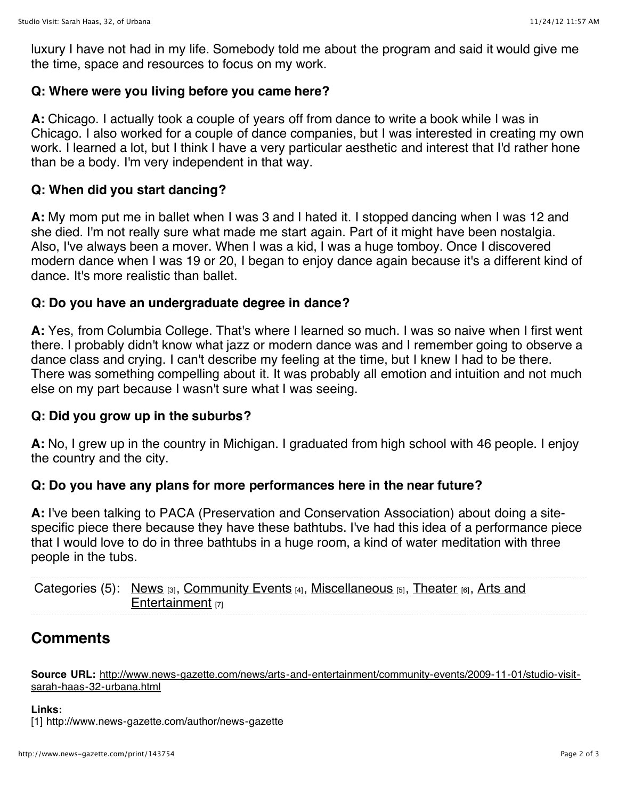luxury I have not had in my life. Somebody told me about the program and said it would give me the time, space and resources to focus on my work.

#### **Q: Where were you living before you came here?**

**A:** Chicago. I actually took a couple of years off from dance to write a book while I was in Chicago. I also worked for a couple of dance companies, but I was interested in creating my own work. I learned a lot, but I think I have a very particular aesthetic and interest that I'd rather hone than be a body. I'm very independent in that way.

#### **Q: When did you start dancing?**

**A:** My mom put me in ballet when I was 3 and I hated it. I stopped dancing when I was 12 and she died. I'm not really sure what made me start again. Part of it might have been nostalgia. Also, I've always been a mover. When I was a kid, I was a huge tomboy. Once I discovered modern dance when I was 19 or 20, I began to enjoy dance again because it's a different kind of dance. It's more realistic than ballet.

#### **Q: Do you have an undergraduate degree in dance?**

**A:** Yes, from Columbia College. That's where I learned so much. I was so naive when I first went there. I probably didn't know what jazz or modern dance was and I remember going to observe a dance class and crying. I can't describe my feeling at the time, but I knew I had to be there. There was something compelling about it. It was probably all emotion and intuition and not much else on my part because I wasn't sure what I was seeing.

### **Q: Did you grow up in the suburbs?**

**A:** No, I grew up in the country in Michigan. I graduated from high school with 46 people. I enjoy the country and the city.

### **Q: Do you have any plans for more performances here in the near future?**

**A:** I've been talking to PACA (Preservation and Conservation Association) about doing a sitespecific piece there because they have these bathtubs. I've had this idea of a performance piece that I would love to do in three bathtubs in a huge room, a kind of water meditation with three people in the tubs.

Categories (5): [News](http://www.news-gazette.com/category/news) [\[3\],](http://www.news-gazette.com/category/news/arts-and-entertainment) [Community Event](http://www.news-gazette.com/category/news/arts-and-entertainment/community-events)[s](http://www.news-gazette.com/category/news/arts-and-entertainment) [4], [Miscellaneous](http://www.news-gazette.com/category/news/arts-and-entertainment/miscellaneous) [5], [Theater](http://www.news-gazette.com/category/news/arts-and-entertainment/theater) [6], Arts and Entertainment [7]

## **Comments**

**Source URL:** [http://www.news-gazette.com/news/arts-and-entertainment/community-events/2009-11-01/studio-visit](http://www.news-gazette.com/news/arts-and-entertainment/community-events/2009-11-01/studio-visit-sarah-haas-32-urbana.html)sarah-haas-32-urbana.html

#### **Links:**

[1] http://www.news-gazette.com/author/news-gazette